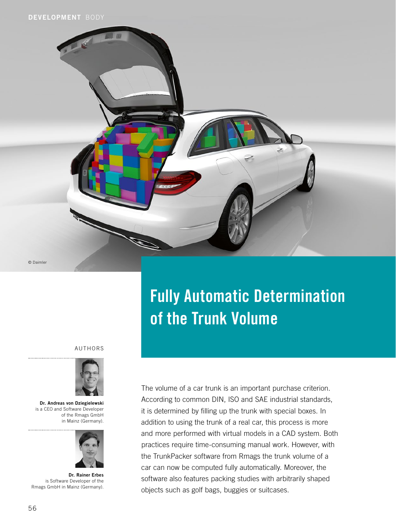

© Daimler

# Fully Automatic Determination of the Trunk Volume

#### AUTHORS



Dr. Andreas von Dziegielewski is a CEO and Software Developer of the Rmags GmbH in Mainz (Germany).



Dr. Rainer Erbes is Software Developer of the Rmags GmbH in Mainz (Germany).

The volume of a car trunk is an important purchase criterion. According to common DIN, ISO and SAE industrial standards, it is determined by filling up the trunk with special boxes. In addition to using the trunk of a real car, this process is more and more performed with virtual models in a CAD system. Both practices require time-consuming manual work. However, with the TrunkPacker software from Rmags the trunk volume of a car can now be computed fully automatically. Moreover, the software also features packing studies with arbitrarily shaped objects such as golf bags, buggies or suitcases.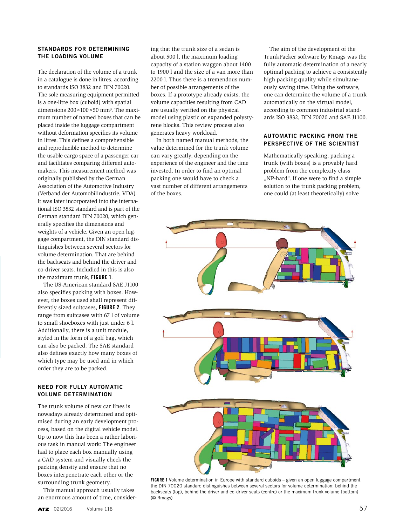#### STANDARDS FOR DETERMINING THE LOADING VOLUME

The declaration of the volume of a trunk in a catalogue is done in litres, according to standards ISO 3832 and DIN 70020. The sole measuring equipment permitted is a one-litre box (cuboid) with spatial dimensions  $200 \times 100 \times 50$  mm<sup>3</sup>. The maximum number of named boxes that can be placed inside the luggage compartment without deformation specifies its volume in litres. This defines a comprehensible and reproducible method to determine the usable cargo space of a passenger car and facilitates comparing different automakers. This measurement method was originally published by the German Association of the Automotive Industry (Verband der Automobilindustrie, VDA). It was later incorporated into the international ISO 3832 standard and is part of the German standard DIN 70020, which generally specifies the dimensions and weights of a vehicle. Given an open luggage compartment, the DIN standard distinguishes between several sectors for volume determination. That are behind the backseats and behind the driver and co-driver seats. Includied in this is also the maximum trunk, FIGURE 1.

The US-American standard SAE J1100 also specifies packing with boxes. However, the boxes used shall represent differently sized suitcases, FIGURE 2. They range from suitcases with 67 l of volume to small shoeboxes with just under 6 l. Additionally, there is a unit module, styled in the form of a golf bag, which can also be packed. The SAE standard also defines exactly how many boxes of which type may be used and in which order they are to be packed.

#### NEED FOR FULLY AUTOMATIC VOLUME DETERMINATION

The trunk volume of new car lines is nowadays already determined and optimised during an early development process, based on the digital vehicle model. Up to now this has been a rather laborious task in manual work: The engineer had to place each box manually using a CAD system and visually check the packing density and ensure that no boxes interpenetrate each other or the surrounding trunk geometry.

This manual approach usually takes an enormous amount of time, considering that the trunk size of a sedan is about 500 l, the maximum loading capacity of a station waggon about 1400 to 1900 l and the size of a van more than 2200 l. Thus there is a tremendous number of possible arrangements of the boxes. If a prototype already exists, the volume capacities resulting from CAD are usually verified on the physical model using plastic or expanded polystyrene blocks. This review process also generates heavy workload.

In both named manual methods, the value determined for the trunk volume can vary greatly, depending on the experience of the engineer and the time invested. In order to find an optimal packing one would have to check a vast number of different arrangements of the boxes.

The aim of the development of the TrunkPacker software by Rmags was the fully automatic determination of a nearly optimal packing to achieve a consistently high packing quality while simultaneously saving time. Using the software, one can determine the volume of a trunk automatically on the virtual model, according to common industrial standards ISO 3832, DIN 70020 and SAE J1100.

#### AUTOMATIC PACKING FROM THE PERSPECTIVE OF THE SCIENTIST

Mathematically speaking, packing a trunk (with boxes) is a provably hard problem from the complexity class "NP-hard". If one were to find a simple solution to the trunk packing problem, one could (at least theoretically) solve



FIGURE 1 Volume determination in Europe with standard cuboids - given an open luggage compartment, the DIN 70020 standard distinguishes between several sectors for volume determination: behind the backseats (top), behind the driver and co-driver seats (centre) or the maximum trunk volume (bottom) (© Rmags)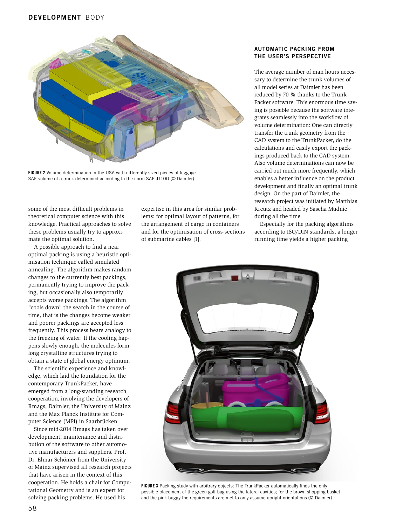

FIGURE 2 Volume determination in the USA with differently sized pieces of luggage -SAE volume of a trunk determined according to the norm SAE J1100 (© Daimler)

some of the most difficult problems in theoretical computer science with this knowledge. Practical approaches to solve these problems usually try to approximate the optimal solution.

A possible approach to find a near optimal packing is using a heuristic optimisation technique called simulated annealing. The algorithm makes random changes to the currently best packings, permanently trying to improve the packing, but occasionally also temporarily accepts worse packings. The algorithm "cools down" the search in the course of time, that is the changes become weaker and poorer packings are accepted less frequently. This process bears analogy to the freezing of water: If the cooling happens slowly enough, the molecules form long crystalline structures trying to obtain a state of global energy optimum.

The scientific experience and knowledge, which laid the foundation for the contemporary TrunkPacker, have emerged from a long-standing research cooperation, involving the developers of Rmags, Daimler, the University of Mainz and the Max Planck Institute for Computer Science (MPI) in Saarbrücken.

Since mid-2014 Rmags has taken over development, maintenance and distribution of the software to other automotive manufacturers and suppliers. Prof. Dr. Elmar Schömer from the University of Mainz supervised all research projects that have arisen in the context of this cooperation. He holds a chair for Computational Geometry and is an expert for solving packing problems. He used his

expertise in this area for similar problems: for optimal layout of patterns, for the arrangement of cargo in containers and for the optimisation of cross-sections of submarine cables [1].

#### AUTOMATIC PACKING FROM THE USER'S PERSPECTIVE

The average number of man hours necessary to determine the trunk volumes of all model series at Daimler has been reduced by 70 % thanks to the Trunk-Packer software. This enormous time saving is possible because the software integrates seamlessly into the workflow of volume determination: One can directly transfer the trunk geometry from the CAD system to the TrunkPacker, do the calculations and easily export the packings produced back to the CAD system. Also volume determinations can now be carried out much more frequently, which enables a better influence on the product development and finally an optimal trunk design. On the part of Daimler, the research project was initiated by Matthias Kreutz and headed by Sascha Mudnic during all the time.

Especially for the packing algorithms according to ISO/DIN standards, a longer running time yields a higher packing



FIGURE 3 Packing study with arbitrary objects: The TrunkPacker automatically finds the only possible placement of the green golf bag using the lateral cavities; for the brown shopping basket and the pink buggy the requirements are met to only assume upright orientations (© Daimler)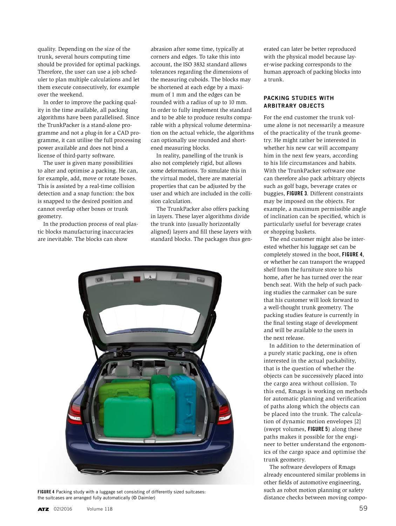quality. Depending on the size of the trunk, several hours computing time should be provided for optimal packings. Therefore, the user can use a job scheduler to plan multiple calculations and let them execute consecutively, for example over the weekend.

In order to improve the packing quality in the time available, all packing algorithms have been parallelised. Since the TrunkPacker is a stand-alone programme and not a plug-in for a CAD programme, it can utilise the full processing power available and does not bind a license of third-party software.

The user is given many possibilities to alter and optimise a packing. He can, for example, add, move or rotate boxes. This is assisted by a real-time collision detection and a snap function: the box is snapped to the desired position and cannot overlap other boxes or trunk geometry.

In the production process of real plastic blocks manufacturing inaccuracies are inevitable. The blocks can show

abrasion after some time, typically at corners and edges. To take this into account, the ISO 3832 standard allows tolerances regarding the dimensions of the measuring cuboids. The blocks may be shortened at each edge by a maximum of 1 mm and the edges can be rounded with a radius of up to 10 mm. In order to fully implement the standard and to be able to produce results comparable with a physical volume determination on the actual vehicle, the algorithms can optionally use rounded and shortened measuring blocks.

In reality, panelling of the trunk is also not completely rigid, but allows some deformations. To simulate this in the virtual model, there are material properties that can be adjusted by the user and which are included in the collision calculation.

The TrunkPacker also offers packing in layers. These layer algorithms divide the trunk into (usually horizontally aligned) layers and fill these layers with standard blocks. The packages thus gen-



FIGURE 4 Packing study with a luggage set consisting of differently sized suitcases: the suitcases are arranged fully automatically (© Daimler)

erated can later be better reproduced with the physical model because layer-wise packing corresponds to the human approach of packing blocks into a trunk.

#### PACKING STUDIES WITH ARBITRARY OBJECTS

For the end customer the trunk volume alone is not necessarily a measure of the practicality of the trunk geometry. He might rather be interested in whether his new car will accompany him in the next few years, according to his life circumstances and habits. With the TrunkPacker software one can therefore also pack arbitrary objects such as golf bags, beverage crates or buggies, FIGURE 3. Different constraints may be imposed on the objects. For example, a maximum permissible angle of inclination can be specified, which is particularly useful for beverage crates or shopping baskets.

The end customer might also be interested whether his luggage set can be completely stowed in the boot, FIGURE 4, or whether he can transport the wrapped shelf from the furniture store to his home, after he has turned over the rear bench seat. With the help of such packing studies the carmaker can be sure that his customer will look forward to a well-thought trunk geometry. The packing studies feature is currently in the final testing stage of development and will be available to the users in the next release.

In addition to the determination of a purely static packing, one is often interested in the actual packability, that is the question of whether the objects can be successively placed into the cargo area without collision. To this end, Rmags is working on methods for automatic planning and verification of paths along which the objects can be placed into the trunk. The calculation of dynamic motion envelopes [2] (swept volumes, FIGURE 5) along these paths makes it possible for the engineer to better understand the ergonomics of the cargo space and optimise the trunk geometry.

The software developers of Rmags already encountered similar problems in other fields of automotive engineering, such as robot motion planning or safety distance checks between moving compo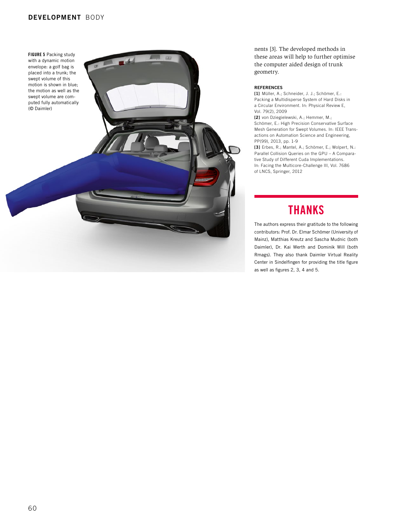FIGURE 5 Packing study with a dynamic motion envelope: a golf bag is placed into a trunk; the swept volume of this motion is shown in blue; the motion as well as the swept volume are computed fully automatically (© Daimler)

nents [3]. The developed methods in these areas will help to further optimise the computer aided design of trunk geometry.

#### REFERENCES

[1] Müller, A.; Schneider, J. J.; Schömer, E.: Packing a Multidisperse System of Hard Disks in a Circular Environment. In: Physical Review E, Vol. 79(2), 2009

[2] von Dziegielewski, A.; Hemmer, M.; Schömer, E.: High Precision Conservative Surface Mesh Generation for Swept Volumes. In: IEEE Transactions on Automation Science and Engineering, PP(99), 2013, pp. 1-9

[3] Erbes, R.; Mantel, A.; Schömer, E.; Wolpert, N.: Parallel Collision Queries on the GPU – A Comparative Study of Different Cuda Implementations. In: Facing the Multicore-Challenge III, Vol. 7686 of LNCS, Springer, 2012

### THANKS

The authors express their gratitude to the following contributors: Prof. Dr. Elmar Schömer (University of Mainz), Matthias Kreutz and Sascha Mudnic (both Daimler), Dr. Kai Werth and Dominik Will (both Rmags). They also thank Daimler Virtual Reality Center in Sindelfingen for providing the title figure as well as figures 2, 3, 4 and 5.